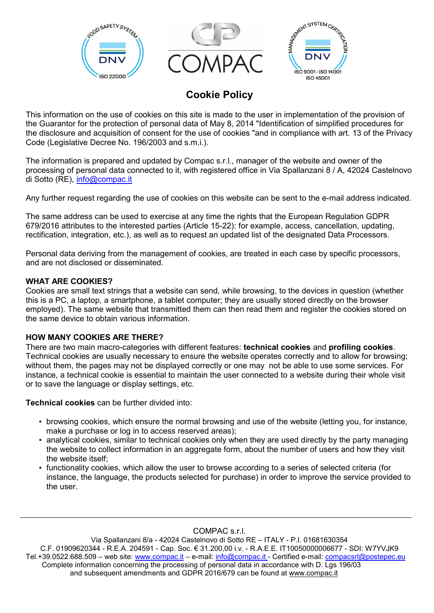

# **Cookie Policy**

This information on the use of cookies on this site is made to the user in implementation of the provision of the Guarantor for the protection of personal data of May 8, 2014 "Identification of simplified procedures for the disclosure and acquisition of consent for the use of cookies "and in compliance with art. 13 of the Privacy Code (Legislative Decree No. 196/2003 and s.m.i.).

The information is prepared and updated by Compac s.r.l., manager of the website and owner of the processing of personal data connected to it, with registered office in Via Spallanzani 8 / A, 42024 Castelnovo di Sotto (RE), [info@compac.it](mailto:info@compac.it)

Any further request regarding the use of cookies on this website can be sent to the e-mail address indicated.

The same address can be used to exercise at any time the rights that the European Regulation GDPR 679/2016 attributes to the interested parties (Article 15-22): for example, access, cancellation, updating, rectification, integration, etc.), as well as to request an updated list of the designated Data Processors.

Personal data deriving from the management of cookies, are treated in each case by specific processors, and are not disclosed or disseminated.

### **WHAT ARE COOKIES?**

Cookies are small text strings that a website can send, while browsing, to the devices in question (whether this is a PC, a laptop, a smartphone, a tablet computer; they are usually stored directly on the browser employed). The same website that transmitted them can then read them and register the cookies stored on the same device to obtain various information.

#### **HOW MANY COOKIES ARE THERE?**

There are two main macro-categories with different features: **technical cookies** and **profiling cookies**. Technical cookies are usually necessary to ensure the website operates correctly and to allow for browsing; without them, the pages may not be displayed correctly or one may not be able to use some services. For instance, a technical cookie is essential to maintain the user connected to a website during their whole visit or to save the language or display settings, etc.

**Technical cookies** can be further divided into:

- browsing cookies, which ensure the normal browsing and use of the website (letting you, for instance, make a purchase or log in to access reserved areas);
- analytical cookies, similar to technical cookies only when they are used directly by the party managing the website to collect information in an aggregate form, about the number of users and how they visit the website itself;
- functionality cookies, which allow the user to browse according to a series of selected criteria (for instance, the language, the products selected for purchase) in order to improve the service provided to the user.

COMPAC s.r.l.

Via Spallanzani 8/a - 42024 Castelnovo di Sotto RE – ITALY - P.I. 01681630354 C.F. 01909620344 - R.E.A. 204591 - Cap. Soc. € 31.200,00 i.v. - R.A.E.E. IT10050000006677 - SDI: W7YVJK9 Tel.+39.0522.688.509 – web site: [www.compac.it](http://www.compac.it/) – e-mail: [info@compac.it](mailto:info@compac.it) - Certified e-mail: [compacsrl@postepec.eu](mailto:compacsrl@postepec.eu) Complete information concerning the processing of personal data in accordance with D. Lgs 196/03 and subsequent amendments and GDPR 2016/679 can be found at [www.compac.it](http://www.compac.it/)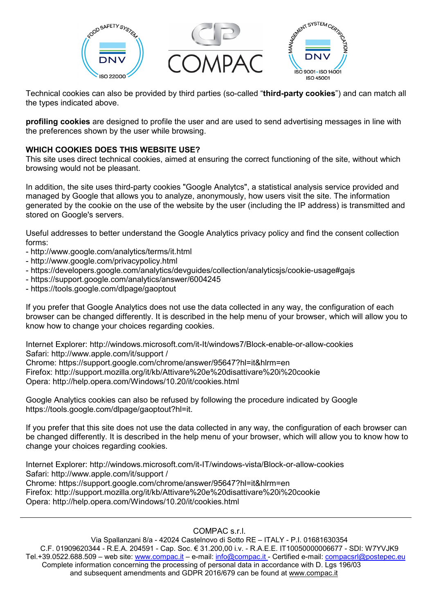

Technical cookies can also be provided by third parties (so-called "**third-party cookies**") and can match all the types indicated above.

**profiling cookies** are designed to profile the user and are used to send advertising messages in line with the preferences shown by the user while browsing.

### **WHICH COOKIES DOES THIS WEBSITE USE?**

This site uses direct technical cookies, aimed at ensuring the correct functioning of the site, without which browsing would not be pleasant.

In addition, the site uses third-party cookies "Google Analytcs", a statistical analysis service provided and managed by Google that allows you to analyze, anonymously, how users visit the site. The information generated by the cookie on the use of the website by the user (including the IP address) is transmitted and stored on Google's servers.

Useful addresses to better understand the Google Analytics privacy policy and find the consent collection forms:

- http://www.google.com/analytics/terms/it.html
- http://www.google.com/privacypolicy.html
- https://developers.google.com/analytics/devguides/collection/analyticsjs/cookie-usage#gajs
- https://support.google.com/analytics/answer/6004245
- https://tools.google.com/dlpage/gaoptout

If you prefer that Google Analytics does not use the data collected in any way, the configuration of each browser can be changed differently. It is described in the help menu of your browser, which will allow you to know how to change your choices regarding cookies.

Internet Explorer: http://windows.microsoft.com/it-It/windows7/Block-enable-or-allow-cookies Safari: http://www.apple.com/it/support /

Chrome: https://support.google.com/chrome/answer/95647?hl=it&hlrm=en Firefox: http://support.mozilla.org/it/kb/Attivare%20e%20disattivare%20i%20cookie Opera: http://help.opera.com/Windows/10.20/it/cookies.html

Google Analytics cookies can also be refused by following the procedure indicated by Google https://tools.google.com/dlpage/gaoptout?hl=it.

If you prefer that this site does not use the data collected in any way, the configuration of each browser can be changed differently. It is described in the help menu of your browser, which will allow you to know how to change your choices regarding cookies.

Internet Explorer: http://windows.microsoft.com/it-IT/windows-vista/Block-or-allow-cookies Safari: http://www.apple.com/it/support / Chrome: https://support.google.com/chrome/answer/95647?hl=it&hlrm=en Firefox: http://support.mozilla.org/it/kb/Attivare%20e%20disattivare%20i%20cookie Opera: http://help.opera.com/Windows/10.20/it/cookies.html

COMPAC s.r.l.

Via Spallanzani 8/a - 42024 Castelnovo di Sotto RE – ITALY - P.I. 01681630354 C.F. 01909620344 - R.E.A. 204591 - Cap. Soc. € 31.200,00 i.v. - R.A.E.E. IT10050000006677 - SDI: W7YVJK9 Tel.+39.0522.688.509 – web site: [www.compac.it](http://www.compac.it/) – e-mail: [info@compac.it](mailto:info@compac.it) - Certified e-mail: [compacsrl@postepec.eu](mailto:compacsrl@postepec.eu) Complete information concerning the processing of personal data in accordance with D. Lgs 196/03 and subsequent amendments and GDPR 2016/679 can be found at [www.compac.it](http://www.compac.it/)